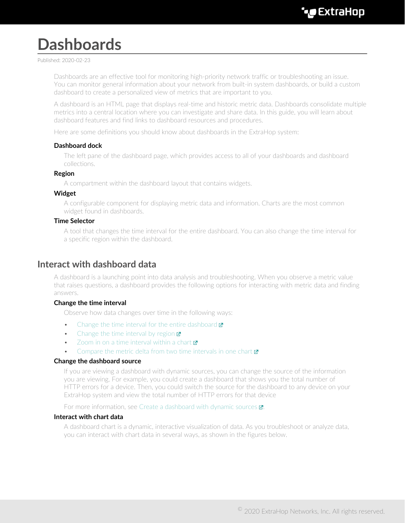# **Dashboards**

Published: 2020-02-23

Dashboards are an effective tool for monitoring high-priority network traffic or troubleshooting an issue. You can monitor general information about your network from built-in system dashboards, or build a custom dashboard to create a personalized view of metrics that are important to you.

A dashboard is an HTML page that displays real-time and historic metric data. Dashboards consolidate multiple metrics into a central location where you can investigate and share data. In this guide, you will learn about dashboard features and find links to dashboard resources and procedures.

Here are some definitions you should know about dashboards in the ExtraHop system:

#### **Dashboard dock**

The left pane of the dashboard page, which provides access to all of your dashboards and dashboard collections.

#### **Region**

A compartment within the dashboard layout that contains widgets.

#### **Widget**

A configurable component for displaying metric data and information. Charts are the most common widget found in dashboards.

#### **Time Selector**

A tool that changes the time interval for the entire dashboard. You can also change the time interval for a specific region within the dashboard.

### **Interact with dashboard data**

A dashboard is a launching point into data analysis and troubleshooting. When you observe a metric value that raises questions, a dashboard provides the following options for interacting with metric data and finding answers.

#### **Change the time interval**

Observe how data changes over time in the following ways:

- [Change the time interval for the entire dashboard](https://docs.extrahop.com/7.9/time-intervals/#change-the-time-interval)  $\blacksquare$
- [Change the time interval by region](https://docs.extrahop.com/7.9/change-region-time/#change-the-time-interval-for-a-dashboard-region)  $\mathbf{z}$
- [Zoom in on a time interval within a chart](https://docs.extrahop.com/7.9/zoom-in-on-time-range/#zoom-in-on-a-custom-time-range)  $\mathbf Z$
- [Compare the metric delta from two time intervals in one chart](https://docs.extrahop.com/7.9/compare-metric-deltas/#compare-time-intervals-to-find-the-metric-delta)  $\blacksquare$

#### **Change the dashboard source**

If you are viewing a dashboard with dynamic sources, you can change the source of the information you are viewing. For example, you could create a dashboard that shows you the total number of HTTP errors for a device. Then, you could switch the source for the dashboard to any device on your ExtraHop system and view the total number of HTTP errors for that device

For more information, see Create a dashboard with dynamic sources  $\blacksquare$ .

#### **Interact with chart data**

A dashboard chart is a dynamic, interactive visualization of data. As you troubleshoot or analyze data, you can interact with chart data in several ways, as shown in the figures below.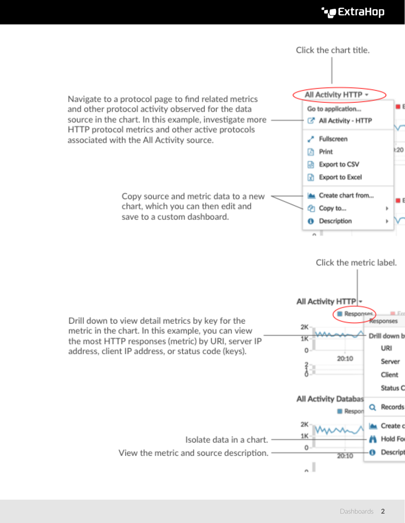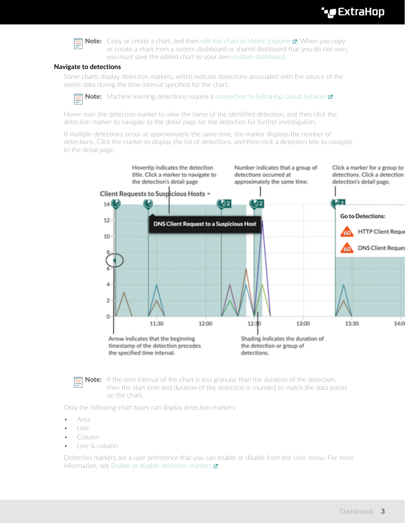# **∙e** ExtraHop



**Note:** Copy or create a chart, and then edit the chart in Metric Explorer **..** When you copy or create a chart from a system dashboard or shared dashboard that you do not own, you must save the edited chart to your own [custom dashboard.](#page-3-0)

#### **Navigate to detections**

Some charts display detection markers, which indicate detections associated with the source of the metric data during the time interval specified for the chart.



**Note:** Machine learning detections require a connection to ExtraHop Cloud Services **..** 

Hover over the detection marker to view the name of the identified detection, and then click the detection marker to navigate to the detail page for the detection for further investigation.

If multiple detections occur at approximately the same time, the marker displays the number of detections. Click the marker to display the list of detections, and then click a detection title to navigate to the detail page.



**Note:** If the time interval of the chart is less granular than the duration of the detection, then the start time and duration of the detection is rounded to match the data points on the chart.

Only the following chart types can display detection markers:

- Area
- Line
- Column
- Line & column

Detection markers are a user preference that you can enable or disable from the User menu. For more information, see [Enable or disable detection markers](https://docs.extrahop.com/7.9/enable-detection-markers/#enable-or-disable-detection-markers)  $\mathbb{Z}$ .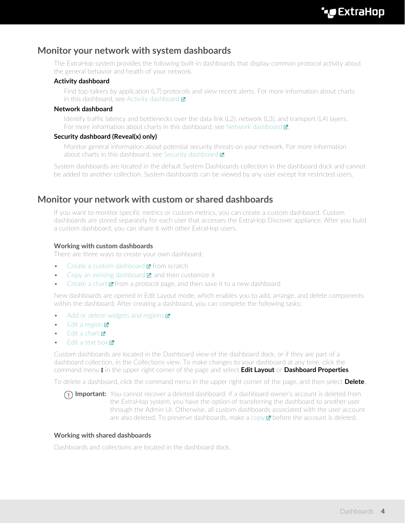## **Monitor your network with system dashboards**

The ExtraHop system provides the following built-in dashboards that display common protocol activity about the general behavior and health of your network.

#### **Activity dashboard**

Find top-talkers by application (L7) protocols and view recent alerts. For more information about charts in this dashboard, see [Activity dashboard](https://docs.extrahop.com/7.9/activity-dashboard/#activity-dashboard)  $\blacksquare$ .

#### **Network dashboard**

Identify traffic latency and bottlenecks over the data link (L2), network (L3), and transport (L4) layers. For more information about charts in this dashboard, see Network dashboard **r.** 

#### **Security dashboard (Reveal(x) only)**

Monitor general information about potential security threats on your network. For more information about charts in this dashboard, see Security dashboard  $\mathbb{Z}$ .

System dashboards are located in the default System Dashboards collection in the dashboard dock and cannot be added to another collection. System dashboards can be viewed by any user except for restricted users.

## <span id="page-3-0"></span>**Monitor your network with custom or shared dashboards**

If you want to monitor specific metrics or custom metrics, you can create a custom dashboard. Custom dashboards are stored separately for each user that accesses the ExtraHop Discover appliance. After you build a custom dashboard, you can share it with other ExtraHop users.

#### **Working with custom dashboards**

There are three ways to create your own dashboard:

- [Create a custom dashboard](https://docs.extrahop.com/7.9/create-dashboard/#create-a-dashboard)  $\blacksquare$  from scratch
- [Copy an existing dashboard](https://docs.extrahop.com/7.9/copy-dashboard/#copy-a-dashboard)  $\mathbb{Z}$ , and then customize it
- [Create a chart](https://docs.extrahop.com/7.9/create-chart)  $\mathbf{z}$  from a protocol page, and then save it to a new dashboard

New dashboards are opened in Edit Layout mode, which enables you to add, arrange, and delete components within the dashboard. After creating a dashboard, you can complete the following tasks:

- [Add or delete widgets and regions](https://docs.extrahop.com/7.9/edit-dashboard-layout/#edit-a-dashboard-layout)  $\square$
- [Edit a region](https://docs.extrahop.com/7.9/edit-dashboard-region/#edit-a-dashboard-region)  $\mathbf{Z}$
- $E$ dit a chart  $\blacksquare$
- [Edit a text box](https://docs.extrahop.com/7.9/edit-text-box/#edit-a-text-box-widget)  $\blacksquare$

Custom dashboards are located in the Dashboard view of the dashboard dock, or if they are part of a dashboard collection, in the Collections view. To make changes to your dashboard at any time, click the command menu **i** in the upper right corner of the page and select **Edit Layout** or **Dashboard Properties**.

To delete a dashboard, click the command menu in the upper right corner of the page, and then select **Delete**.

**Important:** You cannot recover a deleted dashboard. If a dashboard owner's account is deleted from the ExtraHop system, you have the option of transferring the dashboard to another user through the Admin UI. Otherwise, all custom dashboards associated with the user account are also deleted. To preserve dashboards, make a [copy](https://docs.extrahop.com/7.9/copy-dashboard/#copy-a-dashboard)  $E$  before the account is deleted.

#### **Working with shared dashboards**

Dashboards and collections are located in the dashboard dock.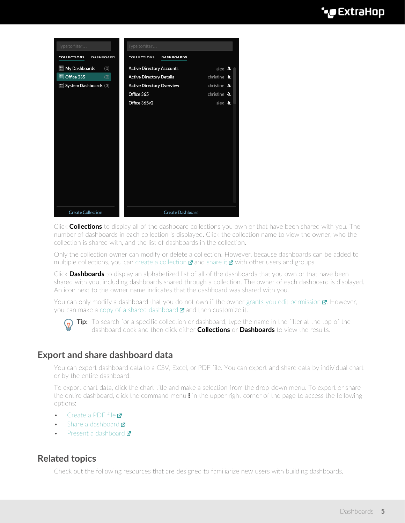# **'•@** ExtraHop

| Type to filter                         | Type to filter                                         |
|----------------------------------------|--------------------------------------------------------|
| <b>COLLECTIONS</b><br><b>DASHBOARD</b> | <b>COLLECTIONS</b><br><b>DASHBOARDS</b>                |
| My Dashboards<br>(0)                   | <b>Active Directory Accounts</b><br>alex $4$           |
| M Office 365<br>(2)                    | <b>Active Directory Details</b><br>christine &         |
| <b>ED</b> System Dashboards (3)        | christine $\Delta$<br><b>Active Directory Overview</b> |
|                                        | Office 365<br>christine &                              |
|                                        | Office 365v2<br>alex $\lambda$                         |
|                                        |                                                        |
|                                        |                                                        |
|                                        |                                                        |
|                                        |                                                        |
|                                        |                                                        |
|                                        |                                                        |
|                                        |                                                        |
|                                        |                                                        |
|                                        |                                                        |
|                                        |                                                        |
|                                        |                                                        |
| <b>Create Collection</b>               | <b>Create Dashboard</b>                                |

Click **Collections** to display all of the dashboard collections you own or that have been shared with you. The number of dashboards in each collection is displayed. Click the collection name to view the owner, who the collection is shared with, and the list of dashboards in the collection.

Only the collection owner can modify or delete a collection. However, because dashboards can be added to multiple collections, you can [create a collection](https://docs.extrahop.com/7.9/create-dashboard-collection)  $\mathbf{z}$  and [share it](https://docs.extrahop.com/7.9/share-dashboard-collection)  $\mathbf{z}$  with other users and groups.

Click **Dashboards** to display an alphabetized list of all of the dashboards that you own or that have been shared with you, including dashboards shared through a collection. The owner of each dashboard is displayed. An icon next to the owner name indicates that the dashboard was shared with you.

You can only modify a dashboard that you do not own if the owner grants you edit permission  $\mathbb{Z}$ . However, you can make a [copy of a shared dashboard](https://docs.extrahop.com/7.9/copy-dashboard/#copy-a-dashboard)  $\mathbf{z}$  and then customize it.



**Tip:** To search for a specific collection or dashboard, type the name in the filter at the top of the dashboard dock and then click either **Collections** or **Dashboards** to view the results.

### **Export and share dashboard data**

You can export dashboard data to a CSV, Excel, or PDF file. You can export and share data by individual chart or by the entire dashboard.

To export chart data, click the chart title and make a selection from the drop-down menu. To export or share the entire dashboard, click the command menu  $\overline{\bullet}$  in the upper right corner of the page to access the following options:

- [Create a PDF file](https://docs.extrahop.com/7.9/create-pdf/#create-a-pdf-file)
- [Share a dashboard](https://docs.extrahop.com/7.9/share-dashboard/#share-a-dashboard)
- [Present a dashboard](https://docs.extrahop.com/7.9/present-dashboard/#present-a-dashboard) **Ø**

# **Related topics**

Check out the following resources that are designed to familiarize new users with building dashboards.